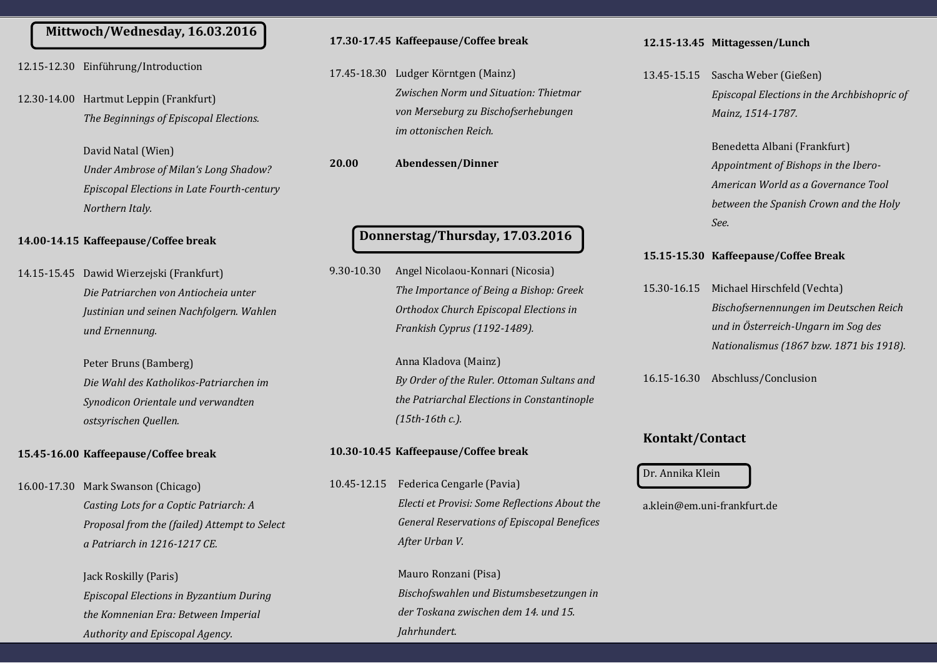### **Mittwoch/Wednesday, 16.03.2016**

- 12.15-12.30 Einführung/Introduction
- 12.30-14.00 Hartmut Leppin (Frankfurt) *The Beginnings of Episcopal Elections.*

David Natal (Wien) *Under Ambrose of Milan's Long Shadow? Episcopal Elections in Late Fourth-century Northern Italy.*

#### **14.00-14.15 Kaffeepause/Coffee break**

14.15-15.45 Dawid Wierzejski (Frankfurt) *Die Patriarchen von Antiocheia unter Justinian und seinen Nachfolgern. Wahlen und Ernennung.*

> Peter Bruns (Bamberg) *Die Wahl des Katholikos-Patriarchen im Synodicon Orientale und verwandten ostsyrischen Quellen.*

#### **15.45-16.00 Kaffeepause/Coffee break**

16.00-17.30 Mark Swanson (Chicago) *Casting Lots for a Coptic Patriarch: A Proposal from the (failed) Attempt to Select a Patriarch in 1216-1217 CE.*

> Jack Roskilly (Paris) *Episcopal Elections in Byzantium During the Komnenian Era: Between Imperial Authority and Episcopal Agency.*

#### **17.30-17.45 Kaffeepause/Coffee break**

17.45-18.30 Ludger Körntgen (Mainz) *Zwischen Norm und Situation: Thietmar von Merseburg zu Bischofserhebungen im ottonischen Reich.*

**20.00 Abendessen/Dinner**

### **Donnerstag/Thursday, 17.03.2016**

9.30-10.30 Angel Nicolaou-Konnari (Nicosia) *The Importance of Being a Bishop: Greek Orthodox Church Episcopal Elections in Frankish Cyprus (1192-1489).*

> Anna Kladöva (Mainz) *By Order of the Ruler. Ottoman Sultans and the Patriarchal Elections in Constantinople (15th-16th c.).*

#### **10.30-10.45 Kaffeepause/Coffee break**

10.45-12.15 Federica Cengarle (Pavia) *Electi et Provisi: Some Reflections About the General Reservations of Episcopal Benefices After Urban V.*

> Mauro Ronzani (Pisa) *Bischofswahlen und Bistumsbesetzungen in der Toskana zwischen dem 14. und 15. Jahrhundert.*

#### **12.15-13.45 Mittagessen/Lunch**

13.45-15.15 Sascha Weber (Gießen) *Episcopal Elections in the Archbishopric of Mainz, 1514-1787.*

> Benedetta Albani (Frankfurt) *Appointment of Bishops in the Ibero-American World as a Governance Tool between the Spanish Crown and the Holy See.*

#### **15.15-15.30 Kaffeepause/Coffee Break**

15.30-16.15 Michael Hirschfeld (Vechta) *Bischofsernennungen im Deutschen Reich und in Österreich-Ungarn im Sog des Nationalismus (1867 bzw. 1871 bis 1918).*

16.15-16.30 Abschluss/Cönclusiön

#### **Kontakt/Contact**

#### Dr. Annika Klein

a.klein@em.uni-frankfurt.de